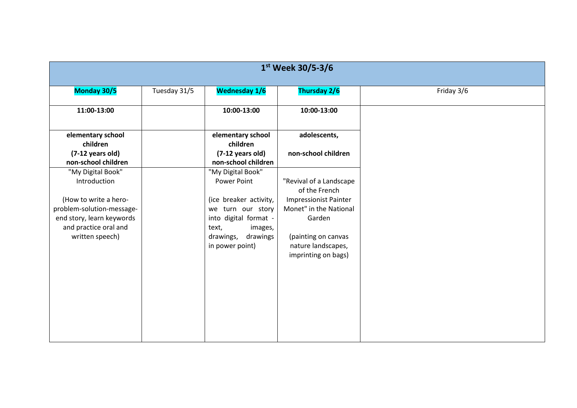| 1 <sup>st</sup> Week 30/5-3/6                                                                            |              |                                                                                          |                                                                  |            |  |
|----------------------------------------------------------------------------------------------------------|--------------|------------------------------------------------------------------------------------------|------------------------------------------------------------------|------------|--|
| Monday 30/5                                                                                              | Tuesday 31/5 | <b>Wednesday 1/6</b>                                                                     | <b>Thursday 2/6</b>                                              | Friday 3/6 |  |
| 11:00-13:00                                                                                              |              | 10:00-13:00                                                                              | 10:00-13:00                                                      |            |  |
| elementary school<br>children                                                                            |              | elementary school<br>children                                                            | adolescents,                                                     |            |  |
| (7-12 years old)<br>non-school children                                                                  |              | $(7-12 \text{ years old})$<br>non-school children                                        | non-school children                                              |            |  |
| "My Digital Book"<br>Introduction                                                                        |              | "My Digital Book"<br>Power Point                                                         | "Revival of a Landscape<br>of the French                         |            |  |
| (How to write a hero-<br>problem-solution-message-<br>end story, learn keywords<br>and practice oral and |              | (ice breaker activity,<br>we turn our story<br>into digital format -<br>text,<br>images, | <b>Impressionist Painter</b><br>Monet" in the National<br>Garden |            |  |
| written speech)                                                                                          |              | drawings<br>drawings,<br>in power point)                                                 | (painting on canvas<br>nature landscapes,<br>imprinting on bags) |            |  |
|                                                                                                          |              |                                                                                          |                                                                  |            |  |
|                                                                                                          |              |                                                                                          |                                                                  |            |  |
|                                                                                                          |              |                                                                                          |                                                                  |            |  |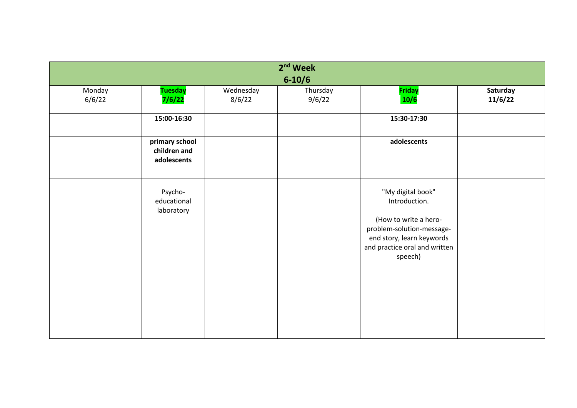|                  |                                               |                     | 2 <sup>nd</sup> Week<br>$6 - 10/6$ |                                                                                                                                                                   |                     |
|------------------|-----------------------------------------------|---------------------|------------------------------------|-------------------------------------------------------------------------------------------------------------------------------------------------------------------|---------------------|
| Monday<br>6/6/22 | <b>Tuesday</b><br>7/6/22                      | Wednesday<br>8/6/22 | Thursday<br>9/6/22                 | <b>Friday</b><br>10/6                                                                                                                                             | Saturday<br>11/6/22 |
|                  | 15:00-16:30                                   |                     |                                    | 15:30-17:30                                                                                                                                                       |                     |
|                  | primary school<br>children and<br>adolescents |                     |                                    | adolescents                                                                                                                                                       |                     |
|                  | Psycho-<br>educational<br>laboratory          |                     |                                    | "My digital book"<br>Introduction.<br>(How to write a hero-<br>problem-solution-message-<br>end story, learn keywords<br>and practice oral and written<br>speech) |                     |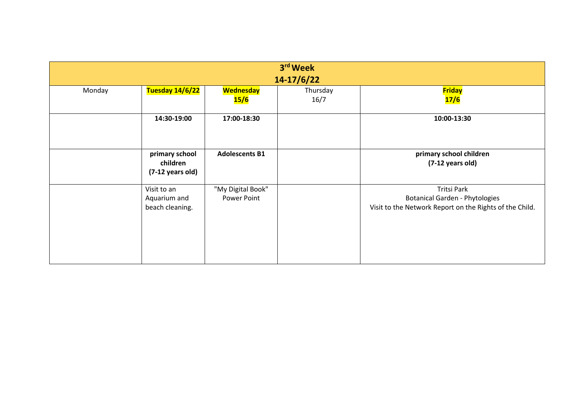| 3rd Week   |                        |                       |          |                                                         |  |  |
|------------|------------------------|-----------------------|----------|---------------------------------------------------------|--|--|
| 14-17/6/22 |                        |                       |          |                                                         |  |  |
| Monday     | <b>Tuesday 14/6/22</b> | <b>Wednesday</b>      | Thursday | <b>Friday</b>                                           |  |  |
|            |                        | 15/6                  | 16/7     | 17/6                                                    |  |  |
|            |                        |                       |          |                                                         |  |  |
|            | 14:30-19:00            | 17:00-18:30           |          | 10:00-13:30                                             |  |  |
|            |                        |                       |          |                                                         |  |  |
|            |                        |                       |          |                                                         |  |  |
|            | primary school         | <b>Adolescents B1</b> |          | primary school children                                 |  |  |
|            | children               |                       |          | $(7-12 \text{ years old})$                              |  |  |
|            | (7-12 years old)       |                       |          |                                                         |  |  |
|            |                        |                       |          |                                                         |  |  |
|            | Visit to an            | "My Digital Book"     |          | <b>Tritsi Park</b>                                      |  |  |
|            | Aquarium and           | Power Point           |          | <b>Botanical Garden - Phytologies</b>                   |  |  |
|            | beach cleaning.        |                       |          | Visit to the Network Report on the Rights of the Child. |  |  |
|            |                        |                       |          |                                                         |  |  |
|            |                        |                       |          |                                                         |  |  |
|            |                        |                       |          |                                                         |  |  |
|            |                        |                       |          |                                                         |  |  |
|            |                        |                       |          |                                                         |  |  |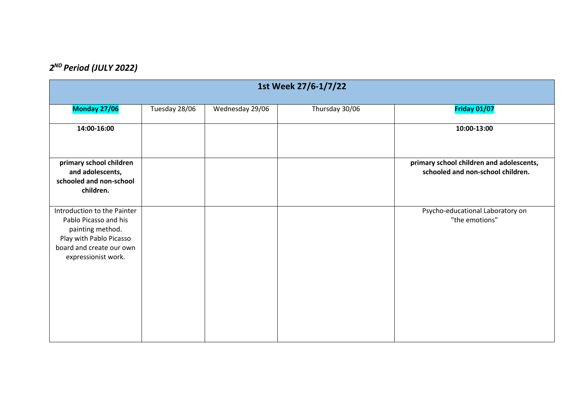## *2 ND Period (JULY 2022)*

| 1st Week 27/6-1/7/22                                                                                                                                   |               |                 |                |                                                                               |  |
|--------------------------------------------------------------------------------------------------------------------------------------------------------|---------------|-----------------|----------------|-------------------------------------------------------------------------------|--|
| Monday 27/06                                                                                                                                           | Tuesday 28/06 | Wednesday 29/06 | Thursday 30/06 | <b>Friday 01/07</b>                                                           |  |
| 14:00-16:00                                                                                                                                            |               |                 |                | 10:00-13:00                                                                   |  |
| primary school children<br>and adolescents,<br>schooled and non-school<br>children.                                                                    |               |                 |                | primary school children and adolescents,<br>schooled and non-school children. |  |
| Introduction to the Painter<br>Pablo Picasso and his<br>painting method.<br>Play with Pablo Picasso<br>board and create our own<br>expressionist work. |               |                 |                | Psycho-educational Laboratory on<br>"the emotions"                            |  |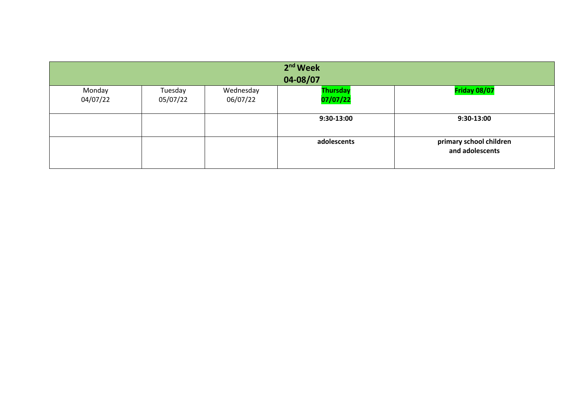| $2nd$ Week<br>04-08/07 |          |           |                 |                                            |  |
|------------------------|----------|-----------|-----------------|--------------------------------------------|--|
| Monday                 | Tuesday  | Wednesday | <b>Thursday</b> | Friday 08/07                               |  |
| 04/07/22               | 05/07/22 | 06/07/22  | 07/07/22        |                                            |  |
|                        |          |           | 9:30-13:00      | 9:30-13:00                                 |  |
|                        |          |           |                 |                                            |  |
|                        |          |           | adolescents     | primary school children<br>and adolescents |  |
|                        |          |           |                 |                                            |  |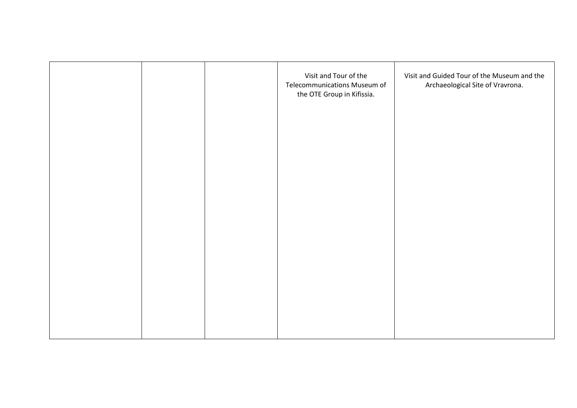|  | Visit and Tour of the<br>Telecommunications Museum of<br>the OTE Group in Kifissia. | Visit and Guided Tour of the Museum and the<br>Archaeological Site of Vravrona. |
|--|-------------------------------------------------------------------------------------|---------------------------------------------------------------------------------|
|  |                                                                                     |                                                                                 |
|  |                                                                                     |                                                                                 |
|  |                                                                                     |                                                                                 |
|  |                                                                                     |                                                                                 |
|  |                                                                                     |                                                                                 |